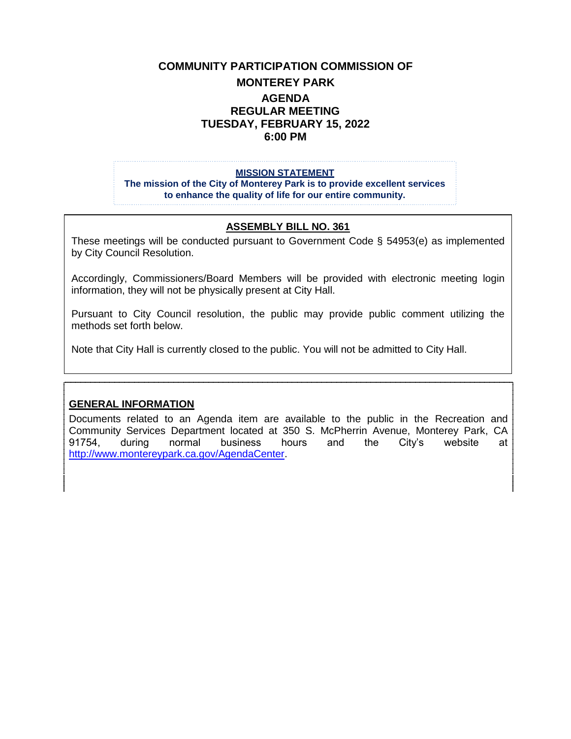# **COMMUNITY PARTICIPATION COMMISSION OF MONTEREY PARK AGENDA REGULAR MEETING TUESDAY, FEBRUARY 15, 2022 6:00 PM**

#### **MISSION STATEMENT**

**The mission of the City of Monterey Park is to provide excellent services to enhance the quality of life for our entire community.**

#### **ASSEMBLY BILL NO. 361**

These meetings will be conducted pursuant to Government Code § 54953(e) as implemented by City Council Resolution.

Accordingly, Commissioners/Board Members will be provided with electronic meeting login information, they will not be physically present at City Hall.

Pursuant to City Council resolution, the public may provide public comment utilizing the methods set forth below.

Note that City Hall is currently closed to the public. You will not be admitted to City Hall.

#### **GENERAL INFORMATION**

Documents related to an Agenda item are available to the public in the Recreation and Community Services Department located at 350 S. McPherrin Avenue, Monterey Park, CA 91754, during normal business hours and the City's website at [http://www.montereypark.ca.gov/AgendaCenter.](http://www.montereypark.ca.gov/AgendaCenter)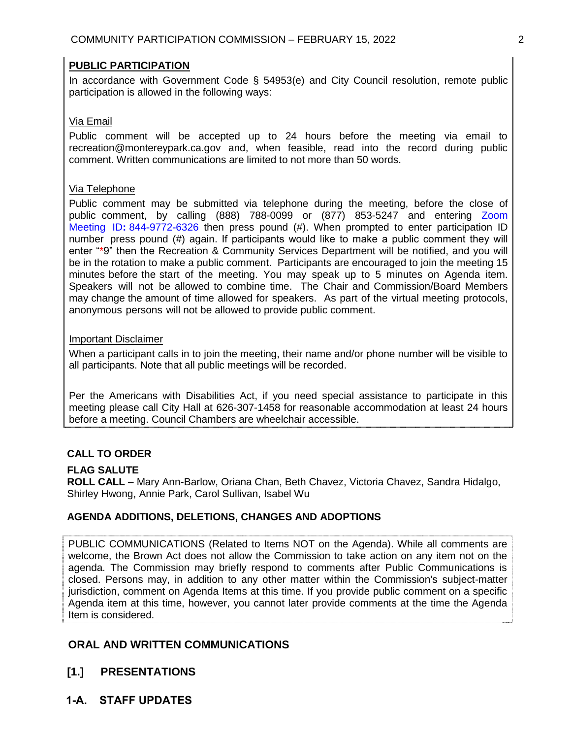### **PUBLIC PARTICIPATION**

In accordance with Government Code § 54953(e) and City Council resolution, remote public participation is allowed in the following ways:

### Via Email

Public comment will be accepted up to 24 hours before the meeting via email to recreation@montereypark.ca.gov and, when feasible, read into the record during public comment. Written communications are limited to not more than 50 words.

### Via Telephone

Public comment may be submitted via telephone during the meeting, before the close of public comment, by calling (888) 788-0099 or (877) 853-5247 and entering Zoom Meeting ID**:** 844-9772-6326 then press pound (#). When prompted to enter participation ID number press pound (#) again. If participants would like to make a public comment they will enter "\*9" then the Recreation & Community Services Department will be notified, and you will be in the rotation to make a public comment. Participants are encouraged to join the meeting 15 minutes before the start of the meeting. You may speak up to 5 minutes on Agenda item. Speakers will not be allowed to combine time. The Chair and Commission/Board Members may change the amount of time allowed for speakers. As part of the virtual meeting protocols, anonymous persons will not be allowed to provide public comment.

### Important Disclaimer

When a participant calls in to join the meeting, their name and/or phone number will be visible to all participants. Note that all public meetings will be recorded.

Per the Americans with Disabilities Act, if you need special assistance to participate in this meeting please call City Hall at 626-307-1458 for reasonable accommodation at least 24 hours before a meeting. Council Chambers are wheelchair accessible.

## **CALL TO ORDER**

### **FLAG SALUTE**

**ROLL CALL** – Mary Ann-Barlow, Oriana Chan, Beth Chavez, Victoria Chavez, Sandra Hidalgo, Shirley Hwong, Annie Park, Carol Sullivan, Isabel Wu

### **AGENDA ADDITIONS, DELETIONS, CHANGES AND ADOPTIONS**

PUBLIC COMMUNICATIONS (Related to Items NOT on the Agenda). While all comments are welcome, the Brown Act does not allow the Commission to take action on any item not on the agenda. The Commission may briefly respond to comments after Public Communications is closed. Persons may, in addition to any other matter within the Commission's subject-matter jurisdiction, comment on Agenda Items at this time. If you provide public comment on a specific Agenda item at this time, however, you cannot later provide comments at the time the Agenda Item is considered.

# **ORAL AND WRITTEN COMMUNICATIONS**

- **[1.] PRESENTATIONS**
- **1-A. STAFF UPDATES**